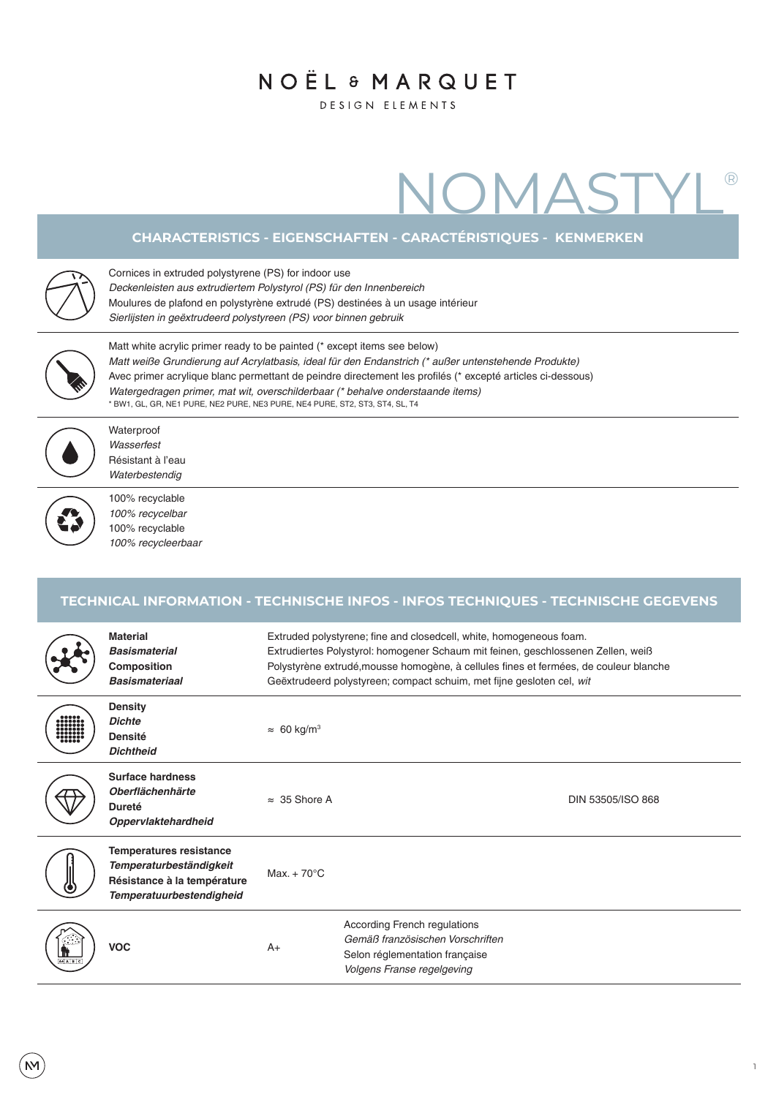## NOËL & MARQUET

**DESIGN ELEMENTS** 

# NOMASTYL®

#### **CHARACTERISTICS - EIGENSCHAFTEN - CARACTÉRISTIQUES - KENMERKEN**

Cornices in extruded polystyrene (PS) for indoor use

*Deckenleisten aus extrudiertem Polystyrol (PS) für den Innenbereich*

Moulures de plafond en polystyrène extrudé (PS) destinées à un usage intérieur

*Sierlijsten in geëxtrudeerd polystyreen (PS) voor binnen gebruik*



Matt white acrylic primer ready to be painted (\* except items see below) *Matt weiße Grundierung auf Acrylatbasis, ideal für den Endanstrich (\* außer untenstehende Produkte)* Avec primer acrylique blanc permettant de peindre directement les profilés (\* excepté articles ci-dessous) *Watergedragen primer, mat wit, overschilderbaar (\* behalve onderstaande items)* \* BW1, GL, GR, NE1 PURE, NE2 PURE, NE3 PURE, NE4 PURE, ST2, ST3, ST4, SL, T4



Waterproof *Wasserfest* Résistant à l'eau *Waterbestendig*



100% recyclable *100% recycelbar* 100% recyclable *100% recycleerbaar*

### **TECHNICAL INFORMATION - TECHNISCHE INFOS - INFOS TECHNIQUES - TECHNISCHE GEGEVENS**

|                                                                                                                                                                        | <b>Material</b><br><b>Basismaterial</b><br>Composition<br><b>Basismateriaal</b>                                                    | Extruded polystyrene; fine and closedcell, white, homogeneous foam.<br>Extrudiertes Polystyrol: homogener Schaum mit feinen, geschlossenen Zellen, weiß<br>Polystyrène extrudé, mousse homogène, à cellules fines et fermées, de couleur blanche<br>Geëxtrudeerd polystyreen; compact schuim, met fijne gesloten cel, wit |                                                                                                                                         |  |  |
|------------------------------------------------------------------------------------------------------------------------------------------------------------------------|------------------------------------------------------------------------------------------------------------------------------------|---------------------------------------------------------------------------------------------------------------------------------------------------------------------------------------------------------------------------------------------------------------------------------------------------------------------------|-----------------------------------------------------------------------------------------------------------------------------------------|--|--|
| $\begin{array}{ c c } \hline \texttt{00000} & \texttt{00000} \\ \hline \texttt{0000000} & \texttt{0000000} \\ \hline \texttt{00000000} & \texttt{0000000} \end{array}$ | <b>Density</b><br><b>Dichte</b><br><b>Densité</b><br><b>Dichtheid</b>                                                              | $\approx 60 \text{ kg/m}^3$                                                                                                                                                                                                                                                                                               |                                                                                                                                         |  |  |
|                                                                                                                                                                        | <b>Surface hardness</b><br><b>Oberflächenhärte</b><br><b>Dureté</b><br>Oppervlaktehardheid                                         | $\approx$ 35 Shore A                                                                                                                                                                                                                                                                                                      | DIN 53505/ISO 868                                                                                                                       |  |  |
|                                                                                                                                                                        | <b>Temperatures resistance</b><br><b>Temperaturbeständigkeit</b><br>Résistance à la température<br><b>Temperatuurbestendigheid</b> | Max. $+70^{\circ}$ C                                                                                                                                                                                                                                                                                                      |                                                                                                                                         |  |  |
| $A+ A B C$                                                                                                                                                             | <b>VOC</b>                                                                                                                         | $A+$                                                                                                                                                                                                                                                                                                                      | According French regulations<br>Gemäß französischen Vorschriften<br>Selon réglementation française<br><b>Volgens Franse regelgeving</b> |  |  |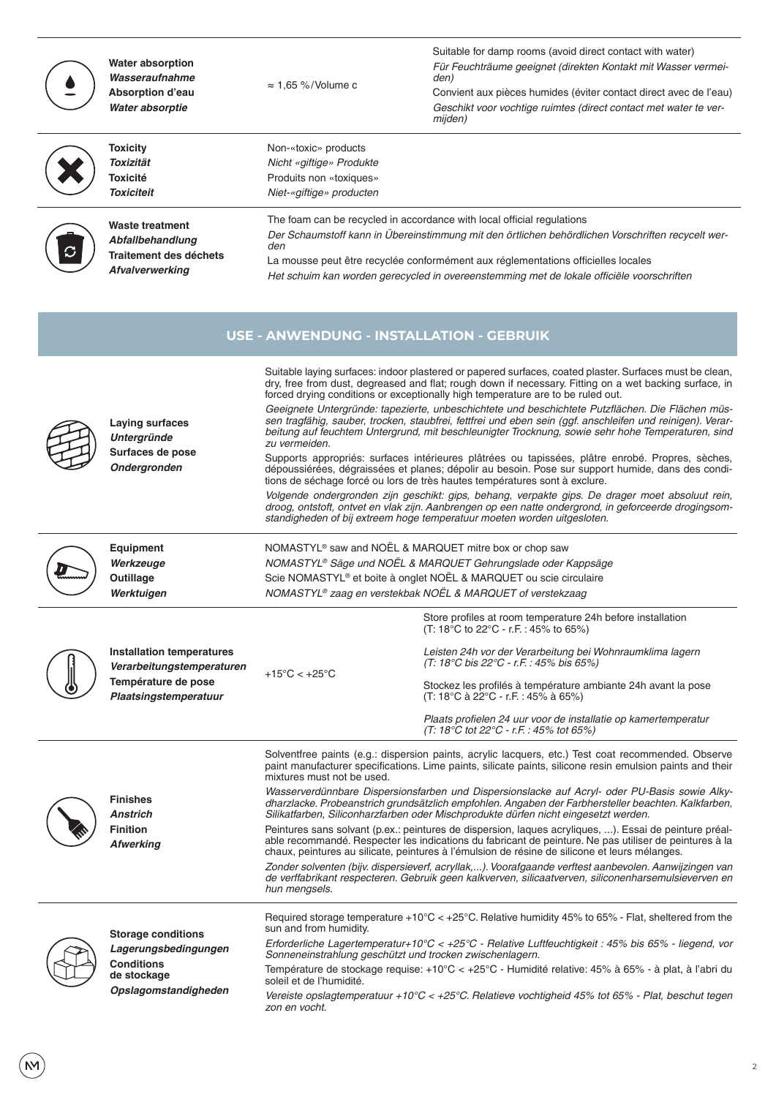|                                                 | <b>Water absorption</b><br>Wasseraufnahme<br>Absorption d'eau<br>Water absorptie                              | $\approx$ 1.65 %/Volume c                                                                                                                                                                                                                                                                                                                                                                                                                                                                                                              | Suitable for damp rooms (avoid direct contact with water)<br>Für Feuchträume geeignet (direkten Kontakt mit Wasser vermei-<br>den)<br>Convient aux pièces humides (éviter contact direct avec de l'eau)<br>Geschikt voor vochtige ruimtes (direct contact met water te ver-<br>mijden)                                                                                                                                                                                                                                                                                                                                                                                                                                                                                                                                                                                                                                                                                                                                                                                                                                                                                                                  |  |  |  |  |  |  |
|-------------------------------------------------|---------------------------------------------------------------------------------------------------------------|----------------------------------------------------------------------------------------------------------------------------------------------------------------------------------------------------------------------------------------------------------------------------------------------------------------------------------------------------------------------------------------------------------------------------------------------------------------------------------------------------------------------------------------|---------------------------------------------------------------------------------------------------------------------------------------------------------------------------------------------------------------------------------------------------------------------------------------------------------------------------------------------------------------------------------------------------------------------------------------------------------------------------------------------------------------------------------------------------------------------------------------------------------------------------------------------------------------------------------------------------------------------------------------------------------------------------------------------------------------------------------------------------------------------------------------------------------------------------------------------------------------------------------------------------------------------------------------------------------------------------------------------------------------------------------------------------------------------------------------------------------|--|--|--|--|--|--|
|                                                 | <b>Toxicity</b><br>Toxizität<br><b>Toxicité</b><br><b>Toxiciteit</b>                                          | Non-«toxic» products<br>Nicht «giftige» Produkte<br>Produits non «toxiques»<br>Niet-«giftige» producten                                                                                                                                                                                                                                                                                                                                                                                                                                |                                                                                                                                                                                                                                                                                                                                                                                                                                                                                                                                                                                                                                                                                                                                                                                                                                                                                                                                                                                                                                                                                                                                                                                                         |  |  |  |  |  |  |
|                                                 | <b>Waste treatment</b><br>Abfallbehandlung<br><b>Traitement des déchets</b><br>Afvalverwerking                | The foam can be recycled in accordance with local official regulations<br>Der Schaumstoff kann in Übereinstimmung mit den örtlichen behördlichen Vorschriften recycelt wer-<br>den<br>La mousse peut être recyclée conformément aux réglementations officielles locales<br>Het schuim kan worden gerecycled in overeenstemming met de lokale officiële voorschriften                                                                                                                                                                   |                                                                                                                                                                                                                                                                                                                                                                                                                                                                                                                                                                                                                                                                                                                                                                                                                                                                                                                                                                                                                                                                                                                                                                                                         |  |  |  |  |  |  |
| <b>USE - ANWENDUNG - INSTALLATION - GEBRUIK</b> |                                                                                                               |                                                                                                                                                                                                                                                                                                                                                                                                                                                                                                                                        |                                                                                                                                                                                                                                                                                                                                                                                                                                                                                                                                                                                                                                                                                                                                                                                                                                                                                                                                                                                                                                                                                                                                                                                                         |  |  |  |  |  |  |
|                                                 | Laying surfaces<br><b>Untergründe</b><br>Surfaces de pose<br>Ondergronden                                     | zu vermeiden.                                                                                                                                                                                                                                                                                                                                                                                                                                                                                                                          | Suitable laying surfaces: indoor plastered or papered surfaces, coated plaster. Surfaces must be clean,<br>dry, free from dust, degreased and flat; rough down if necessary. Fitting on a wet backing surface, in<br>forced drying conditions or exceptionally high temperature are to be ruled out.<br>Geeignete Untergründe: tapezierte, unbeschichtete und beschichtete Putzflächen. Die Flächen müs-<br>sen tragfähig, sauber, trocken, staubfrei, fettfrei und eben sein (ggf. anschleifen und reinigen). Verar-<br>beitung auf feuchtem Untergrund, mit beschleunigter Trocknung, sowie sehr hohe Temperaturen, sind<br>Supports appropriés: surfaces intérieures plâtrées ou tapissées, plâtre enrobé. Propres, sèches,<br>dépoussiérées, dégraissées et planes; dépolir au besoin. Pose sur support humide, dans des condi-<br>tions de séchage forcé ou lors de très hautes températures sont à exclure.<br>Volgende ondergronden zijn geschikt: gips, behang, verpakte gips. De drager moet absoluut rein,<br>droog, ontstoft, ontvet en vlak zijn. Aanbrengen op een natte ondergrond, in geforceerde drogingsom-<br>standigheden of bij extreem hoge temperatuur moeten worden uitgesloten. |  |  |  |  |  |  |
|                                                 | Equipment<br>Werkzeuge<br>Outillage<br>Werktuigen                                                             | NOMASTYL <sup>®</sup> saw and NOËL & MARQUET mitre box or chop saw<br>NOMASTYL® Säge und NOËL & MARQUET Gehrungslade oder Kappsäge<br>Scie NOMASTYL <sup>®</sup> et boite à onglet NOËL & MARQUET ou scie circulaire<br>NOMASTYL® zaag en verstekbak NOËL & MARQUET of verstekzaag                                                                                                                                                                                                                                                     |                                                                                                                                                                                                                                                                                                                                                                                                                                                                                                                                                                                                                                                                                                                                                                                                                                                                                                                                                                                                                                                                                                                                                                                                         |  |  |  |  |  |  |
|                                                 | <b>Installation temperatures</b><br>Verarbeitungstemperaturen<br>Température de pose<br>Plaatsingstemperatuur | +15°C < $+25$ °C                                                                                                                                                                                                                                                                                                                                                                                                                                                                                                                       | Store profiles at room temperature 24h before installation<br>(T: 18°C to 22°C - r.F.: 45% to 65%)<br>Leisten 24h vor der Verarbeitung bei Wohnraumklima lagern<br>(T: 18°C bis 22°C - r.F.: 45% bis 65%)<br>Stockez les profilés à température ambiante 24h avant la pose<br>(T: 18°C à 22°C - r.F.: 45% à 65%)<br>Plaats profielen 24 uur voor de installatie op kamertemperatur<br>$(T: 18^{\circ}C \text{ tot } 22^{\circ}C - r.F. : 45\% \text{ tot } 65\%)$                                                                                                                                                                                                                                                                                                                                                                                                                                                                                                                                                                                                                                                                                                                                       |  |  |  |  |  |  |
|                                                 | <b>Finishes</b><br><b>Anstrich</b><br><b>Finition</b><br><b>Afwerking</b>                                     | mixtures must not be used.<br>hun mengsels.                                                                                                                                                                                                                                                                                                                                                                                                                                                                                            | Solventfree paints (e.g.: dispersion paints, acrylic lacquers, etc.) Test coat recommended. Observe<br>paint manufacturer specifications. Lime paints, silicate paints, silicone resin emulsion paints and their<br>Wasserverdünnbare Dispersionsfarben und Dispersionslacke auf Acryl- oder PU-Basis sowie Alky-<br>dharzlacke. Probeanstrich grundsätzlich empfohlen. Angaben der Farbhersteller beachten. Kalkfarben,<br>Silikatfarben, Siliconharzfarben oder Mischprodukte dürfen nicht eingesetzt werden.<br>Peintures sans solvant (p.ex.: peintures de dispersion, laques acryliques, ). Essai de peinture préal-<br>able recommandé. Respecter les indications du fabricant de peinture. Ne pas utiliser de peintures à la<br>chaux, peintures au silicate, peintures à l'émulsion de résine de silicone et leurs mélanges.<br>Zonder solventen (bijv. dispersieverf, acryllak,). Voorafgaande verftest aanbevolen. Aanwijzingen van<br>de verffabrikant respecteren. Gebruik geen kalkverven, silicaatverven, siliconenharsemulsieverven en                                                                                                                                                   |  |  |  |  |  |  |
|                                                 | <b>Storage conditions</b><br>Lagerungsbedingungen<br><b>Conditions</b><br>de stockage<br>Opslagomstandigheden | Required storage temperature +10°C < +25°C. Relative humidity 45% to 65% - Flat, sheltered from the<br>sun and from humidity.<br>Erforderliche Lagertemperatur+10°C < +25°C - Relative Luftfeuchtigkeit : 45% bis 65% - liegend, vor<br>Sonneneinstrahlung geschützt und trocken zwischenlagern.<br>Température de stockage requise: +10°C < +25°C - Humidité relative: 45% à 65% - à plat, à l'abri du<br>soleil et de l'humidité.<br>Vergiste enclogtemperatuur (10°C < 125°C Pelatione veebtigheid 45% tot 65%, Plat, becehut tegen |                                                                                                                                                                                                                                                                                                                                                                                                                                                                                                                                                                                                                                                                                                                                                                                                                                                                                                                                                                                                                                                                                                                                                                                                         |  |  |  |  |  |  |

Vereiste opslagtemperatuur +10°C < +25°C. Relatieve vochtigheid 45% tot 65% - Plat, beschut tegen zon en vocht.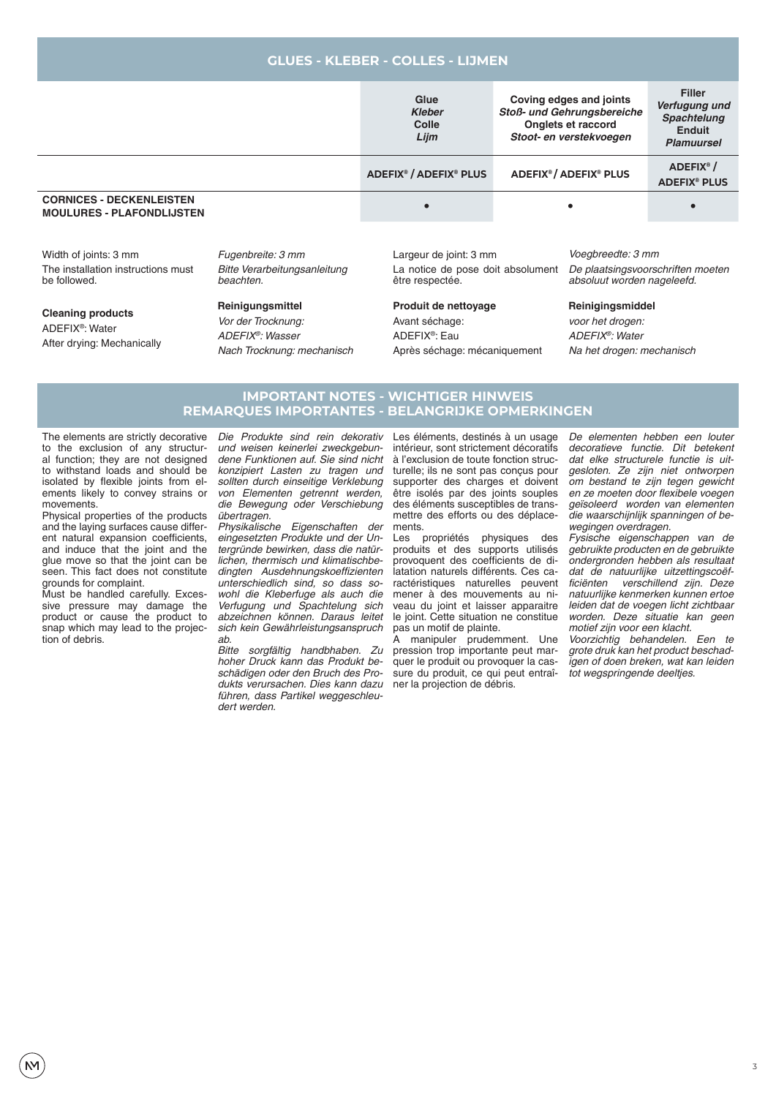| <b>GLUES - KLEBER - COLLES - LIJMEN</b> |  |
|-----------------------------------------|--|

|                                                                                                                                               | Glue<br><b>Kleber</b><br>Colle<br>Lijm |                                                                                | Coving edges and joints<br>Stoß- und Gehrungsbereiche<br>Onglets et raccord<br>Stoot- en verstekvoegen | <b>Filler</b><br>Verfugung und<br><b>Spachtelung</b><br><b>Enduit</b><br><b>Plamuursel</b> |                                                         |
|-----------------------------------------------------------------------------------------------------------------------------------------------|----------------------------------------|--------------------------------------------------------------------------------|--------------------------------------------------------------------------------------------------------|--------------------------------------------------------------------------------------------|---------------------------------------------------------|
|                                                                                                                                               |                                        | ADEFIX <sup>®</sup> / ADEFIX <sup>®</sup> PLUS                                 | <b>ADEFIX<sup>®</sup>/ADEFIX<sup>®</sup> PLUS</b>                                                      |                                                                                            | ADEFIX <sup>®</sup> /<br><b>ADEFIX<sup>®</sup> PLUS</b> |
| <b>CORNICES - DECKENLEISTEN</b><br><b>MOULURES - PLAFONDLIJSTEN</b>                                                                           | ٠                                      |                                                                                |                                                                                                        |                                                                                            |                                                         |
| Width of joints: 3 mm<br>Fugenbreite: 3 mm<br>The installation instructions must<br>Bitte Verarbeitungsanleitung<br>be followed.<br>beachten. |                                        | Largeur de joint: 3 mm<br>La notice de pose doit absolument<br>être respectée. |                                                                                                        | Voegbreedte: 3 mm<br>De plaatsingsvoorschriften moeten<br>absoluut worden nageleefd.       |                                                         |

**Cleaning products** ADEFIX®: Water After drying: Mechanically **Reinigungsmittel**

*Vor der Trocknung: ADEFIX®: Wasser Nach Trocknung: mechanisch* **Produit de nettoyage** Avant séchage: ADEFIX®: Eau Après séchage: mécaniquement **Reinigingsmiddel**

*voor het drogen: ADEFIX®: Water Na het drogen: mechanisch*

#### **IMPORTANT NOTES - WICHTIGER HINWEIS REMARQUES IMPORTANTES - BELANGRIJKE OPMERKINGEN**

The elements are strictly decorative to the exclusion of any structural function; they are not designed to withstand loads and should be isolated by flexible joints from elements likely to convey strains or movements.

Physical properties of the products and the laying surfaces cause different natural expansion coefficients. and induce that the joint and the glue move so that the joint can be seen. This fact does not constitute grounds for complaint.

Must be handled carefully. Excessive pressure may damage the product or cause the product to snap which may lead to the projection of debris.

*Die Produkte sind rein dekorativ und weisen keinerlei zweckgebun*dene Funktionen auf. Sie sind nicht *konzipiert Lasten zu tragen und sollten durch einseitige Verklebung von Elementen getrennt werden, die Bewegung oder Verschiebung*  übertragen.

*Physikalische Eigenschaften der eingesetzten Produkte und der Untergründe bewirken, dass die natürlichen, thermisch und klimatischbe*dingten Ausdehnungskoeffizienten *unterschiedlich sind, so dass sowohl die Kleberfuge als auch die Verfugung und Spachtelung sich*  abzeichnen können. Daraus leitet *sich kein Gewährleistungsanspruch*  ab.

Bitte sorgfältig handbhaben. Zu *hoher Druck kann das Produkt beschädigen oder den Bruch des Pro*dukts verursachen. Dies kann dazu *führen, dass Partikel weggeschleu*dert werden.

Les éléments, destinés à un usage intérieur, sont strictement décoratifs à l'exclusion de toute fonction structurelle; ils ne sont pas conçus pour supporter des charges et doivent être isolés par des joints souples des éléments susceptibles de transmettre des efforts ou des déplacements.

Les propriétés physiques des produits et des supports utilisés provoquent des coefficients de dilatation naturels différents. Ces caractéristiques naturelles peuvent mener à des mouvements au niveau du joint et laisser apparaitre le joint. Cette situation ne constitue pas un motif de plainte.

manipuler prudemment. Une pression trop importante peut marquer le produit ou provoquer la cassure du produit, ce qui peut entraîner la projection de débris.

*De elementen hebben een louter*  decoratieve functie. Dit betekent *dat elke structurele functie is uit*gesloten. Ze zijn niet ontworpen *om bestand te zijn tegen gewicht*  en ze moeten door flexibele voegen *geïsoleerd worden van elementen die waarschijnlijk spanningen of be*wegingen overdragen.

*Fysische eigenschappen van de gebruikte producten en de gebruikte ondergronden hebben als resultaat dat de natuurlijke uitzettingscoëf*ficiënten verschillend zijn. Deze *natuurlijke kenmerken kunnen ertoe leiden dat de voegen licht zichtbaar*  worden. Deze situatie kan geen motief zijn voor een klacht.

Voorzichtig behandelen. Een te *grote druk kan het product beschadigen of doen breken, wat kan leiden*  tot wegspringende deeltjes.